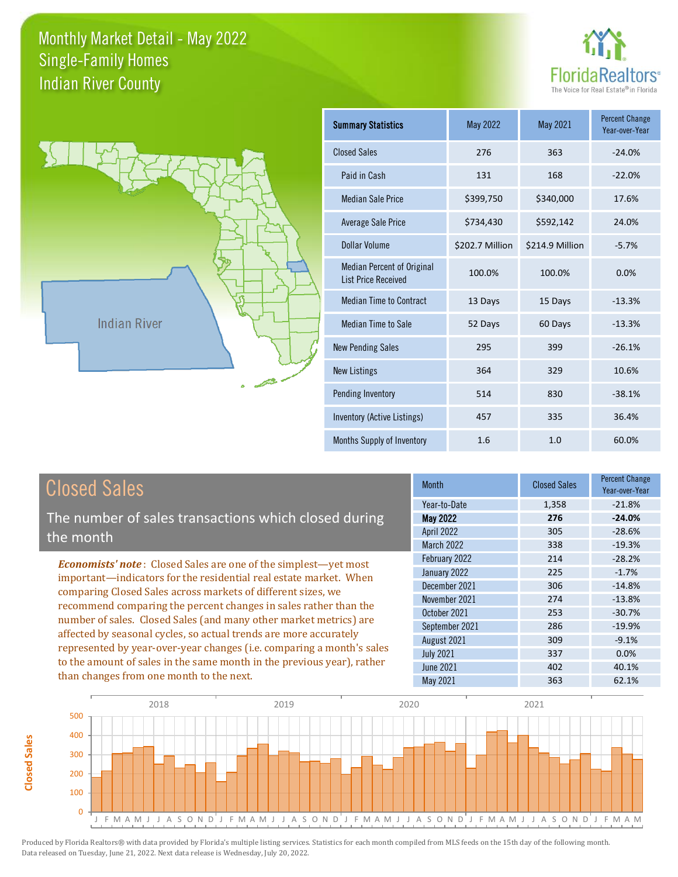



**Closed Sales**

**Closed Sales** 

| <b>Summary Statistics</b>                                       | May 2022        | May 2021        | <b>Percent Change</b><br>Year-over-Year |
|-----------------------------------------------------------------|-----------------|-----------------|-----------------------------------------|
| <b>Closed Sales</b>                                             | 276             | 363             | $-24.0%$                                |
| Paid in Cash                                                    | 131             | 168             | $-22.0%$                                |
| <b>Median Sale Price</b>                                        | \$399,750       | \$340,000       | 17.6%                                   |
| <b>Average Sale Price</b>                                       | \$734,430       | \$592,142       | 24.0%                                   |
| Dollar Volume                                                   | \$202.7 Million | \$214.9 Million | $-5.7%$                                 |
| <b>Median Percent of Original</b><br><b>List Price Received</b> | 100.0%          | 100.0%          | 0.0%                                    |
| <b>Median Time to Contract</b>                                  | 13 Days         | 15 Days         | $-13.3%$                                |
| Median Time to Sale                                             | 52 Days         | 60 Days         | $-13.3%$                                |
| <b>New Pending Sales</b>                                        | 295             | 399             | $-26.1%$                                |
| <b>New Listings</b>                                             | 364             | 329             | 10.6%                                   |
| Pending Inventory                                               | 514             | 830             | $-38.1%$                                |
| Inventory (Active Listings)                                     | 457             | 335             | 36.4%                                   |
| Months Supply of Inventory                                      | 1.6             | 1.0             | 60.0%                                   |

| <b>Closed Sales</b>                                                                                                                                                                                             | <b>Month</b>      | <b>Closed Sales</b> | <b>Percent Change</b><br>Year-over-Year |
|-----------------------------------------------------------------------------------------------------------------------------------------------------------------------------------------------------------------|-------------------|---------------------|-----------------------------------------|
|                                                                                                                                                                                                                 | Year-to-Date      | 1,358               | $-21.8%$                                |
| The number of sales transactions which closed during                                                                                                                                                            | <b>May 2022</b>   | 276                 | $-24.0%$                                |
| the month                                                                                                                                                                                                       | <b>April 2022</b> | 305                 | $-28.6%$                                |
|                                                                                                                                                                                                                 | <b>March 2022</b> | 338                 | $-19.3%$                                |
| <b>Economists' note:</b> Closed Sales are one of the simplest-yet most                                                                                                                                          | February 2022     | 214                 | $-28.2%$                                |
| important—indicators for the residential real estate market. When                                                                                                                                               | January 2022      | 225                 | $-1.7%$                                 |
| comparing Closed Sales across markets of different sizes, we                                                                                                                                                    | December 2021     | 306                 | $-14.8%$                                |
| recommend comparing the percent changes in sales rather than the                                                                                                                                                | November 2021     | 274                 | $-13.8%$                                |
|                                                                                                                                                                                                                 | October 2021      | 253                 | $-30.7%$                                |
| number of sales. Closed Sales (and many other market metrics) are<br>affected by seasonal cycles, so actual trends are more accurately<br>represented by year-over-year changes (i.e. comparing a month's sales | September 2021    | 286                 | $-19.9%$                                |
|                                                                                                                                                                                                                 | August 2021       | 309                 | $-9.1%$                                 |
|                                                                                                                                                                                                                 | <b>July 2021</b>  | 337                 | 0.0%                                    |
| to the amount of sales in the same month in the previous year), rather                                                                                                                                          | June 2021         | 402                 | 40.1%                                   |
| than changes from one month to the next.                                                                                                                                                                        | May 2021          | 363                 | 62.1%                                   |

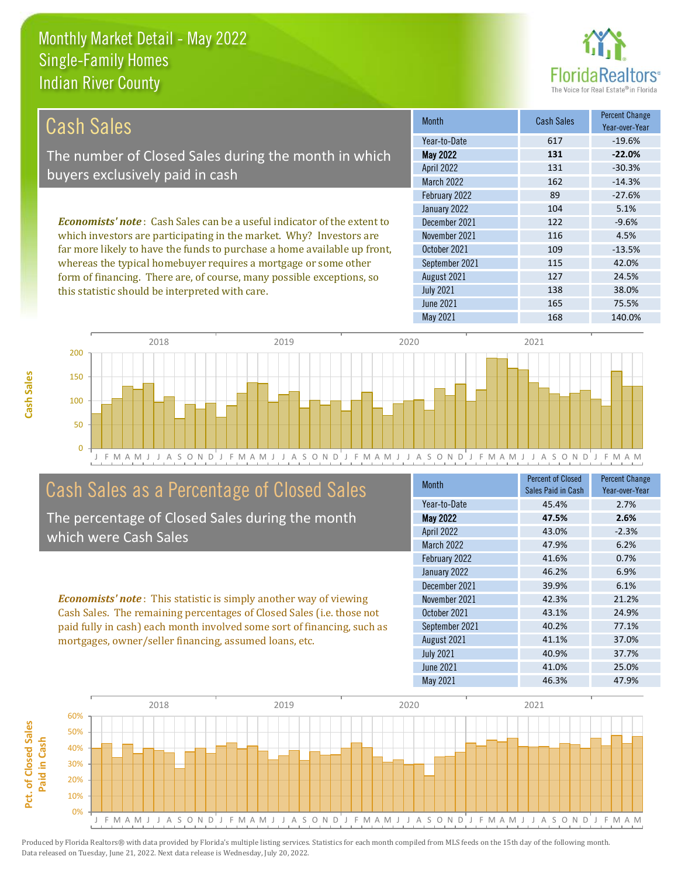this statistic should be interpreted with care.



138 38.0%

| Cash Sales                                                                     | <b>Month</b>      | <b>Cash Sales</b> | <b>Percent Change</b><br>Year-over-Year |
|--------------------------------------------------------------------------------|-------------------|-------------------|-----------------------------------------|
|                                                                                | Year-to-Date      | 617               | $-19.6%$                                |
| The number of Closed Sales during the month in which                           | <b>May 2022</b>   | 131               | $-22.0%$                                |
| buyers exclusively paid in cash                                                | <b>April 2022</b> | 131               | $-30.3%$                                |
|                                                                                | <b>March 2022</b> | 162               | $-14.3%$                                |
|                                                                                | February 2022     | 89                | $-27.6%$                                |
|                                                                                | January 2022      | 104               | 5.1%                                    |
| <b>Economists' note:</b> Cash Sales can be a useful indicator of the extent to | December 2021     | 122               | $-9.6%$                                 |
| which investors are participating in the market. Why? Investors are            | November 2021     | 116               | 4.5%                                    |
| far more likely to have the funds to purchase a home available up front,       | October 2021      | 109               | $-13.5%$                                |
| whereas the typical homebuyer requires a mortgage or some other                | September 2021    | 115               | 42.0%                                   |
| form of financing. There are, of course, many possible exceptions, so          | August 2021       | 127               | 24.5%                                   |



July 2021

# Cash Sales as a Percentage of Closed Sales

The percentage of Closed Sales during the month which were Cash Sales

*Economists' note* : This statistic is simply another way of viewing Cash Sales. The remaining percentages of Closed Sales (i.e. those not paid fully in cash) each month involved some sort of financing, such as mortgages, owner/seller financing, assumed loans, etc.

| <b>Month</b>      | <b>Percent of Closed</b><br>Sales Paid in Cash | <b>Percent Change</b><br>Year-over-Year |
|-------------------|------------------------------------------------|-----------------------------------------|
| Year-to-Date      | 45.4%                                          | 2.7%                                    |
| <b>May 2022</b>   | 47.5%                                          | 2.6%                                    |
| April 2022        | 43.0%                                          | $-2.3%$                                 |
| <b>March 2022</b> | 47.9%                                          | 6.2%                                    |
| February 2022     | 41.6%                                          | 0.7%                                    |
| January 2022      | 46.2%                                          | 6.9%                                    |
| December 2021     | 39.9%                                          | 6.1%                                    |
| November 2021     | 42.3%                                          | 21.2%                                   |
| October 2021      | 43.1%                                          | 24.9%                                   |
| September 2021    | 40.2%                                          | 77.1%                                   |
| August 2021       | 41.1%                                          | 37.0%                                   |
| <b>July 2021</b>  | 40.9%                                          | 37.7%                                   |
| June 2021         | 41.0%                                          | 25.0%                                   |
| May 2021          | 46.3%                                          | 47.9%                                   |

June 2021 **165** 75.5%

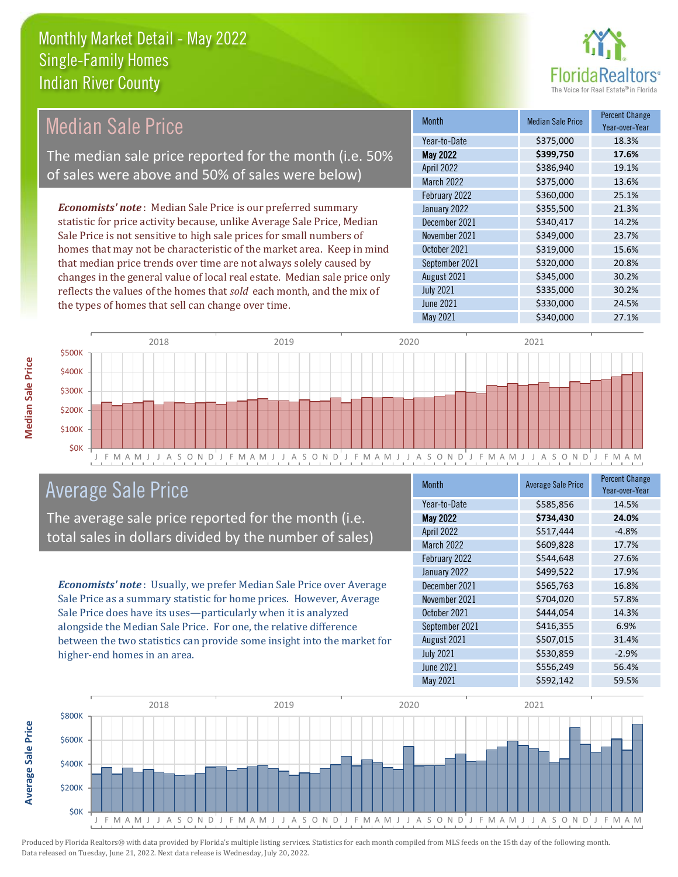

#### Month Median Sale Price Percent Change Year-over-Year May 2022 **\$399,750 17.6%** Year-to-Date \$375,000 18.3% October 2021 5319,000 15.6% April 2022 \$386,940 19.1% March 2022 \$375,000 13.6% December 2021 **\$340,417** 14.2% November 2021 **\$349,000** 23.7% February 2022 \$360,000 25.1% January 2022 **\$355,500** \$355,500 September 2021 **\$320,000** 20.8% August 2021 30.2% July 2021 **\$335,000** \$335,000 30.2% June 2021 **\$330,000** 24.5% May 2021 \$340,000 27.1% *Economists' note* : Median Sale Price is our preferred summary statistic for price activity because, unlike Average Sale Price, Median Sale Price is not sensitive to high sale prices for small numbers of homes that may not be characteristic of the market area. Keep in mind that median price trends over time are not always solely caused by changes in the general value of local real estate. Median sale price only reflects the values of the homes that *sold* each month, and the mix of the types of homes that sell can change over time. Median Sale Price The median sale price reported for the month (i.e. 50% of sales were above and 50% of sales were below)



# Average Sale Price

The average sale price reported for the month (i.e. total sales in dollars divided by the number of sales)

*Economists' note* : Usually, we prefer Median Sale Price over Average Sale Price as a summary statistic for home prices. However, Average Sale Price does have its uses—particularly when it is analyzed alongside the Median Sale Price. For one, the relative difference between the two statistics can provide some insight into the market for higher-end homes in an area.

| <b>Month</b>      | <b>Average Sale Price</b> | <b>Percent Change</b><br>Year-over-Year |
|-------------------|---------------------------|-----------------------------------------|
| Year-to-Date      | \$585,856                 | 14.5%                                   |
| <b>May 2022</b>   | \$734,430                 | 24.0%                                   |
| April 2022        | \$517,444                 | $-4.8%$                                 |
| <b>March 2022</b> | \$609,828                 | 17.7%                                   |
| February 2022     | \$544,648                 | 27.6%                                   |
| January 2022      | \$499,522                 | 17.9%                                   |
| December 2021     | \$565,763                 | 16.8%                                   |
| November 2021     | \$704,020                 | 57.8%                                   |
| October 2021      | \$444,054                 | 14.3%                                   |
| September 2021    | \$416,355                 | 6.9%                                    |
| August 2021       | \$507,015                 | 31.4%                                   |
| <b>July 2021</b>  | \$530,859                 | $-2.9%$                                 |
| June 2021         | \$556,249                 | 56.4%                                   |
| <b>May 2021</b>   | \$592,142                 | 59.5%                                   |



**Average Sale Price**

**Average Sale Price**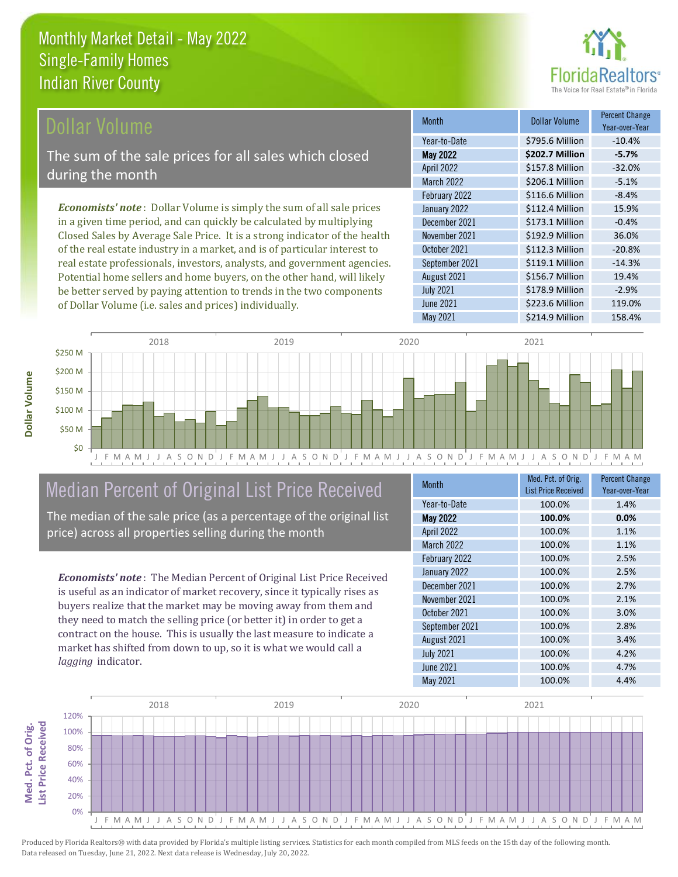

## Dollar Volume

The sum of the sale prices for all sales which closed during the month

*Economists' note* : Dollar Volume is simply the sum of all sale prices in a given time period, and can quickly be calculated by multiplying Closed Sales by Average Sale Price. It is a strong indicator of the health of the real estate industry in a market, and is of particular interest to real estate professionals, investors, analysts, and government agencies. Potential home sellers and home buyers, on the other hand, will likely be better served by paying attention to trends in the two components of Dollar Volume (i.e. sales and prices) individually.

| <b>Month</b>      | Dollar Volume   | <b>Percent Change</b><br>Year-over-Year |
|-------------------|-----------------|-----------------------------------------|
| Year-to-Date      | \$795.6 Million | $-10.4%$                                |
| <b>May 2022</b>   | \$202.7 Million | $-5.7%$                                 |
| April 2022        | \$157.8 Million | $-32.0%$                                |
| <b>March 2022</b> | \$206.1 Million | $-5.1%$                                 |
| February 2022     | \$116.6 Million | $-8.4%$                                 |
| January 2022      | \$112.4 Million | 15.9%                                   |
| December 2021     | \$173.1 Million | $-0.4%$                                 |
| November 2021     | \$192.9 Million | 36.0%                                   |
| October 2021      | \$112.3 Million | $-20.8%$                                |
| September 2021    | \$119.1 Million | $-14.3%$                                |
| August 2021       | \$156.7 Million | 19.4%                                   |
| <b>July 2021</b>  | \$178.9 Million | $-2.9%$                                 |
| <b>June 2021</b>  | \$223.6 Million | 119.0%                                  |
| May 2021          | \$214.9 Million | 158.4%                                  |



# Median Percent of Original List Price Received

The median of the sale price (as a percentage of the original list price) across all properties selling during the month

*Economists' note* : The Median Percent of Original List Price Received is useful as an indicator of market recovery, since it typically rises as buyers realize that the market may be moving away from them and they need to match the selling price (or better it) in order to get a contract on the house. This is usually the last measure to indicate a market has shifted from down to up, so it is what we would call a *lagging* indicator.

| <b>Month</b>      | Med. Pct. of Orig.<br><b>List Price Received</b> | <b>Percent Change</b><br>Year-over-Year |
|-------------------|--------------------------------------------------|-----------------------------------------|
| Year-to-Date      | 100.0%                                           | 1.4%                                    |
| <b>May 2022</b>   | 100.0%                                           | 0.0%                                    |
| April 2022        | 100.0%                                           | 1.1%                                    |
| <b>March 2022</b> | 100.0%                                           | 1.1%                                    |
| February 2022     | 100.0%                                           | 2.5%                                    |
| January 2022      | 100.0%                                           | 2.5%                                    |
| December 2021     | 100.0%                                           | 2.7%                                    |
| November 2021     | 100.0%                                           | 2.1%                                    |
| October 2021      | 100.0%                                           | 3.0%                                    |
| September 2021    | 100.0%                                           | 2.8%                                    |
| August 2021       | 100.0%                                           | 3.4%                                    |
| <b>July 2021</b>  | 100.0%                                           | 4.2%                                    |
| <b>June 2021</b>  | 100.0%                                           | 4.7%                                    |
| May 2021          | 100.0%                                           | 4.4%                                    |

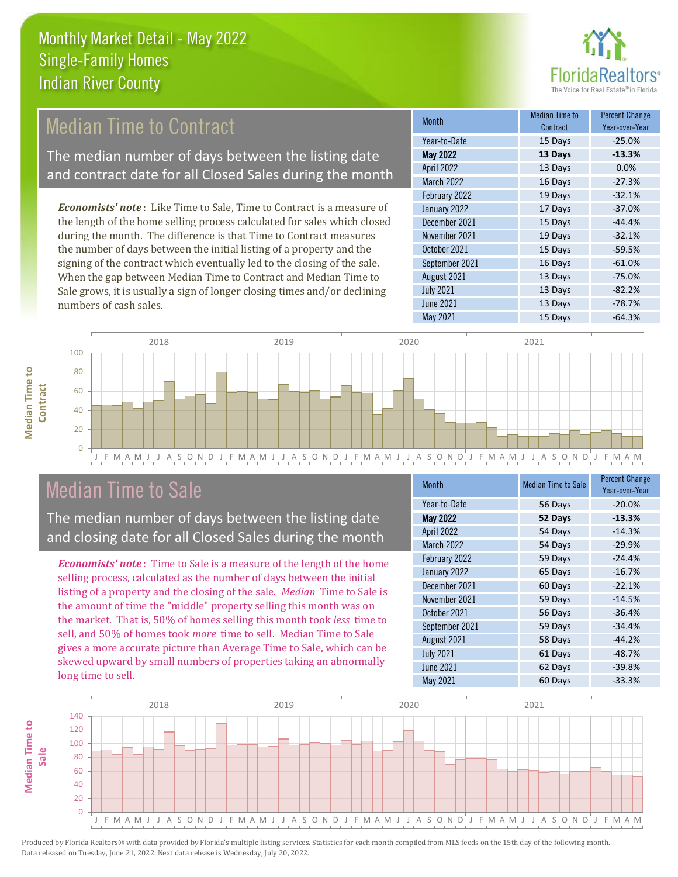

# **Median Time to Contract**

The median number of days between the listing date and contract date for all Closed Sales during the month

*Economists' note* : Like Time to Sale, Time to Contract is a measure of the length of the home selling process calculated for sales which closed during the month. The difference is that Time to Contract measures the number of days between the initial listing of a property and the signing of the contract which eventually led to the closing of the sale. When the gap between Median Time to Contract and Median Time to Sale grows, it is usually a sign of longer closing times and/or declining numbers of cash sales.

| <b>Month</b>      | <b>Median Time to</b><br>Contract | <b>Percent Change</b><br>Year-over-Year |
|-------------------|-----------------------------------|-----------------------------------------|
| Year-to-Date      | 15 Days                           | $-25.0%$                                |
| <b>May 2022</b>   | 13 Days                           | $-13.3%$                                |
| <b>April 2022</b> | 13 Days                           | 0.0%                                    |
| <b>March 2022</b> | 16 Days                           | $-27.3%$                                |
| February 2022     | 19 Days                           | $-32.1%$                                |
| January 2022      | 17 Days                           | $-37.0%$                                |
| December 2021     | 15 Days                           | $-44.4%$                                |
| November 2021     | 19 Days                           | $-32.1%$                                |
| October 2021      | 15 Days                           | $-59.5%$                                |
| September 2021    | 16 Days                           | $-61.0%$                                |
| August 2021       | 13 Days                           | $-75.0%$                                |
| <b>July 2021</b>  | 13 Days                           | $-82.2%$                                |
| <b>June 2021</b>  | 13 Days                           | $-78.7%$                                |
| May 2021          | 15 Days                           | $-64.3%$                                |



# Median Time to Sale

**Median Time to** 

**Median Time to** 

The median number of days between the listing date and closing date for all Closed Sales during the month

*Economists' note* : Time to Sale is a measure of the length of the home selling process, calculated as the number of days between the initial listing of a property and the closing of the sale. *Median* Time to Sale is the amount of time the "middle" property selling this month was on the market. That is, 50% of homes selling this month took *less* time to sell, and 50% of homes took *more* time to sell. Median Time to Sale gives a more accurate picture than Average Time to Sale, which can be skewed upward by small numbers of properties taking an abnormally long time to sell.

| Month             | <b>Median Time to Sale</b> | <b>Percent Change</b><br>Year-over-Year |
|-------------------|----------------------------|-----------------------------------------|
| Year-to-Date      | 56 Days                    | $-20.0%$                                |
| <b>May 2022</b>   | 52 Days                    | $-13.3%$                                |
| April 2022        | 54 Days                    | $-14.3%$                                |
| <b>March 2022</b> | 54 Days                    | $-29.9%$                                |
| February 2022     | 59 Days                    | $-24.4%$                                |
| January 2022      | 65 Days                    | $-16.7%$                                |
| December 2021     | 60 Days                    | $-22.1%$                                |
| November 2021     | 59 Days                    | $-14.5%$                                |
| October 2021      | 56 Days                    | $-36.4%$                                |
| September 2021    | 59 Days                    | $-34.4%$                                |
| August 2021       | 58 Days                    | $-44.2%$                                |
| <b>July 2021</b>  | 61 Days                    | $-48.7%$                                |
| <b>June 2021</b>  | 62 Days                    | $-39.8%$                                |
| May 2021          | 60 Days                    | $-33.3%$                                |

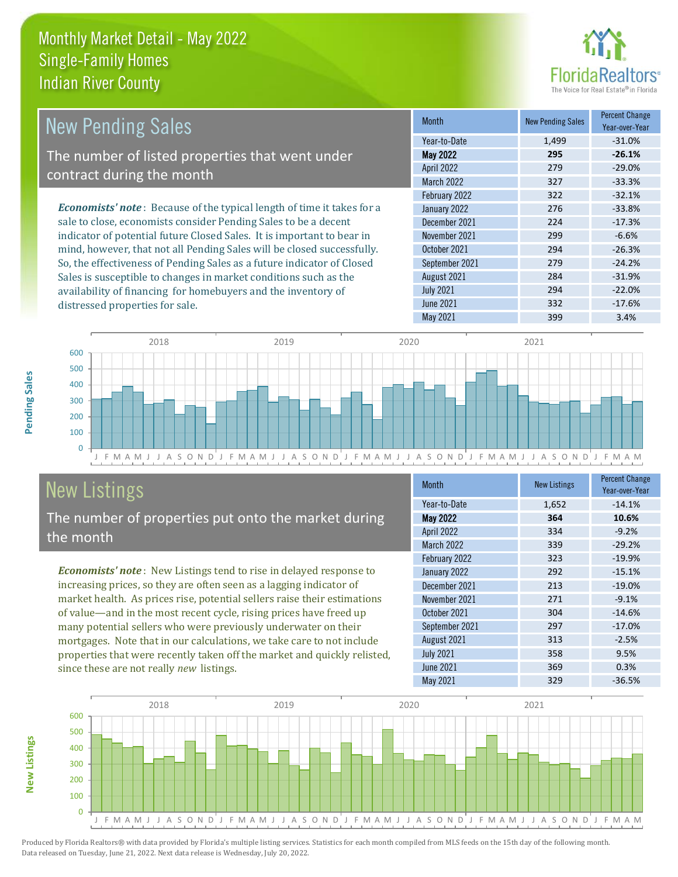distressed properties for sale.



| <b>New Pending Sales</b>                                                       | <b>Month</b>      | <b>New Pending Sales</b> | <b>Percent Change</b><br>Year-over-Year |
|--------------------------------------------------------------------------------|-------------------|--------------------------|-----------------------------------------|
|                                                                                | Year-to-Date      | 1,499                    | $-31.0%$                                |
| The number of listed properties that went under                                | <b>May 2022</b>   | 295                      | $-26.1%$                                |
| contract during the month                                                      | April 2022        | 279                      | $-29.0%$                                |
|                                                                                | <b>March 2022</b> | 327                      | $-33.3%$                                |
|                                                                                | February 2022     | 322                      | $-32.1%$                                |
| <b>Economists' note</b> : Because of the typical length of time it takes for a | January 2022      | 276                      | $-33.8%$                                |
| sale to close, economists consider Pending Sales to be a decent                | December 2021     | 224                      | $-17.3%$                                |
| indicator of potential future Closed Sales. It is important to bear in         | November 2021     | 299                      | $-6.6%$                                 |
| mind, however, that not all Pending Sales will be closed successfully.         | October 2021      | 294                      | $-26.3%$                                |
| So, the effectiveness of Pending Sales as a future indicator of Closed         | September 2021    | 279                      | $-24.2%$                                |
| Sales is susceptible to changes in market conditions such as the               | August 2021       | 284                      | $-31.9%$                                |



# New Listings

The number of properties put onto the market during the month

availability of financing for homebuyers and the inventory of

*Economists' note* : New Listings tend to rise in delayed response to increasing prices, so they are often seen as a lagging indicator of market health. As prices rise, potential sellers raise their estimations of value—and in the most recent cycle, rising prices have freed up many potential sellers who were previously underwater on their mortgages. Note that in our calculations, we take care to not include properties that were recently taken off the market and quickly relisted, since these are not really *new* listings.

| <b>Month</b>      | <b>New Listings</b> | <b>Percent Change</b><br>Year-over-Year |
|-------------------|---------------------|-----------------------------------------|
| Year-to-Date      | 1,652               | $-14.1%$                                |
| <b>May 2022</b>   | 364                 | 10.6%                                   |
| <b>April 2022</b> | 334                 | $-9.2%$                                 |
| <b>March 2022</b> | 339                 | $-29.2%$                                |
| February 2022     | 323                 | $-19.9%$                                |
| January 2022      | 292                 | $-15.1%$                                |
| December 2021     | 213                 | $-19.0%$                                |
| November 2021     | 271                 | $-9.1%$                                 |
| October 2021      | 304                 | $-14.6%$                                |
| September 2021    | 297                 | $-17.0%$                                |
| August 2021       | 313                 | $-2.5%$                                 |
| <b>July 2021</b>  | 358                 | 9.5%                                    |
| June 2021         | 369                 | 0.3%                                    |
| May 2021          | 329                 | $-36.5%$                                |

July 2021 294  $-22.0\%$ June 2021 332 -17.6%



Produced by Florida Realtors® with data provided by Florida's multiple listing services. Statistics for each month compiled from MLS feeds on the 15th day of the following month. Data released on Tuesday, June 21, 2022. Next data release is Wednesday, July 20, 2022.

**New Listings**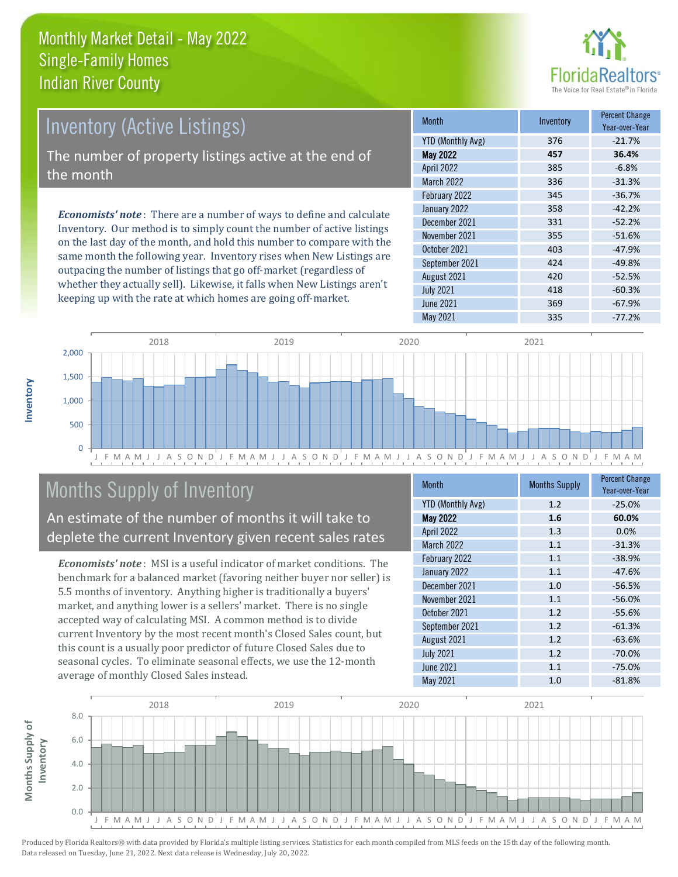

# Inventory (Active Listings)

The number of property listings active at the end of the month

*Economists' note* : There are a number of ways to define and calculate Inventory. Our method is to simply count the number of active listings on the last day of the month, and hold this number to compare with the same month the following year. Inventory rises when New Listings are outpacing the number of listings that go off-market (regardless of whether they actually sell). Likewise, it falls when New Listings aren't keeping up with the rate at which homes are going off-market.

| <b>Month</b>             | Inventory | <b>Percent Change</b><br>Year-over-Year |
|--------------------------|-----------|-----------------------------------------|
| <b>YTD (Monthly Avg)</b> | 376       | $-21.7%$                                |
| <b>May 2022</b>          | 457       | 36.4%                                   |
| April 2022               | 385       | $-6.8%$                                 |
| <b>March 2022</b>        | 336       | $-31.3%$                                |
| February 2022            | 345       | $-36.7%$                                |
| January 2022             | 358       | $-42.2%$                                |
| December 2021            | 331       | $-52.2%$                                |
| November 2021            | 355       | $-51.6%$                                |
| October 2021             | 403       | $-47.9%$                                |
| September 2021           | 424       | $-49.8%$                                |
| August 2021              | 420       | $-52.5%$                                |
| <b>July 2021</b>         | 418       | $-60.3%$                                |
| <b>June 2021</b>         | 369       | $-67.9%$                                |
| May 2021                 | 335       | $-77.2%$                                |



# Months Supply of Inventory

An estimate of the number of months it will take to deplete the current Inventory given recent sales rates

*Economists' note* : MSI is a useful indicator of market conditions. The benchmark for a balanced market (favoring neither buyer nor seller) is 5.5 months of inventory. Anything higher is traditionally a buyers' market, and anything lower is a sellers' market. There is no single accepted way of calculating MSI. A common method is to divide current Inventory by the most recent month's Closed Sales count, but this count is a usually poor predictor of future Closed Sales due to seasonal cycles. To eliminate seasonal effects, we use the 12-month average of monthly Closed Sales instead.

| <b>Month</b>             | <b>Months Supply</b> | <b>Percent Change</b><br>Year-over-Year |
|--------------------------|----------------------|-----------------------------------------|
| <b>YTD (Monthly Avg)</b> | 1.2                  | $-25.0%$                                |
| <b>May 2022</b>          | 1.6                  | 60.0%                                   |
| April 2022               | 1.3                  | 0.0%                                    |
| March 2022               | 1.1                  | $-31.3%$                                |
| February 2022            | 1.1                  | $-38.9%$                                |
| January 2022             | 1.1                  | $-47.6%$                                |
| December 2021            | 1.0                  | $-56.5%$                                |
| November 2021            | 1.1                  | $-56.0%$                                |
| October 2021             | 1.2                  | $-55.6%$                                |
| September 2021           | 1.2                  | $-61.3%$                                |
| August 2021              | 1.2                  | $-63.6%$                                |
| <b>July 2021</b>         | 1.2                  | $-70.0%$                                |
| <b>June 2021</b>         | 1.1                  | $-75.0%$                                |
| <b>May 2021</b>          | 1.0                  | $-81.8%$                                |

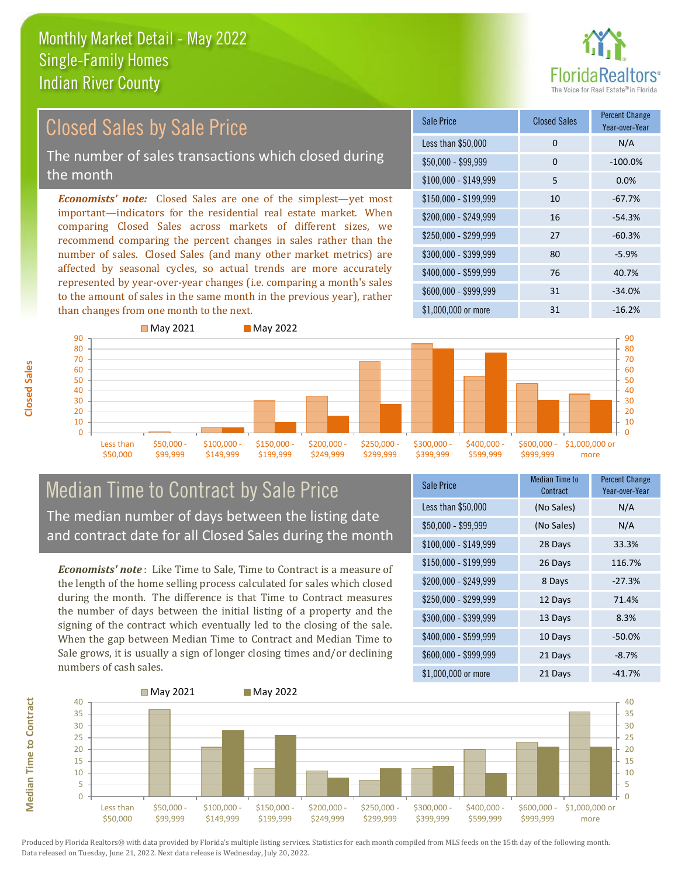

#### *Economists' note:* Closed Sales are one of the simplest—yet most important—indicators for the residential real estate market. When comparing Closed Sales across markets of different sizes, we recommend comparing the percent changes in sales rather than the number of sales. Closed Sales (and many other market metrics) are affected by seasonal cycles, so actual trends are more accurately represented by year-over-year changes (i.e. comparing a month's sales to the amount of sales in the same month in the previous year), rather than changes from one month to the next. \$1,000,000 or more 31 31 -16.2% \$250,000 - \$299,999 27 -60.3% \$300,000 - \$399,999 80 -5.9% \$400,000 - \$599,999 76 40.7% \$600,000 - \$999,999 31 -34.0% \$150,000 - \$199,999 10 -67.7% \$200,000 - \$249,999 16 -54.3% \$100,000 - \$149,999 5 0.0% Sale Price Closed Sales Percent Change Year-over-Year Less than \$50,000 0 0 N/A  $$50.000 - $99.999$  0  $-100.0\%$ Closed Sales by Sale Price The number of sales transactions which closed during the month



## Median Time to Contract by Sale Price The median number of days between the listing date and contract date for all Closed Sales during the month

*Economists' note* : Like Time to Sale, Time to Contract is a measure of the length of the home selling process calculated for sales which closed during the month. The difference is that Time to Contract measures the number of days between the initial listing of a property and the signing of the contract which eventually led to the closing of the sale. When the gap between Median Time to Contract and Median Time to Sale grows, it is usually a sign of longer closing times and/or declining numbers of cash sales.

| <b>Sale Price</b>     | <b>Median Time to</b><br>Contract | <b>Percent Change</b><br>Year-over-Year |
|-----------------------|-----------------------------------|-----------------------------------------|
| Less than \$50,000    | (No Sales)                        | N/A                                     |
| $$50,000 - $99,999$   | (No Sales)                        | N/A                                     |
| $$100,000 - $149,999$ | 28 Days                           | 33.3%                                   |
| $$150,000 - $199,999$ | 26 Days                           | 116.7%                                  |
| \$200,000 - \$249,999 | 8 Days                            | $-27.3%$                                |
| \$250,000 - \$299,999 | 12 Days                           | 71.4%                                   |
| \$300,000 - \$399,999 | 13 Days                           | 8.3%                                    |
| \$400,000 - \$599,999 | 10 Days                           | $-50.0\%$                               |
| \$600,000 - \$999,999 | 21 Days                           | $-8.7%$                                 |
| \$1,000,000 or more   | 21 Days                           | $-41.7%$                                |



**Closed Sales**

**Median Time to Contract**

**Median Time to Contract**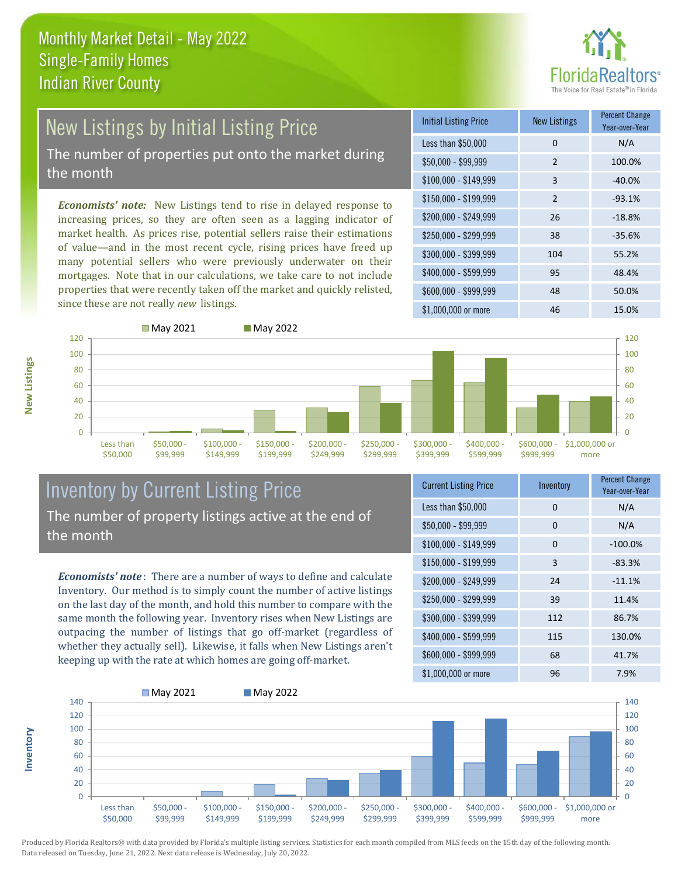

# New Listings by Initial Listing Price The number of properties put onto the market during

the month

*Economists' note:* New Listings tend to rise in delayed response to increasing prices, so they are often seen as a lagging indicator of market health. As prices rise, potential sellers raise their estimations of value—and in the most recent cycle, rising prices have freed up many potential sellers who were previously underwater on their mortgages. Note that in our calculations, we take care to not include properties that were recently taken off the market and quickly relisted, since these are not really *new* listings.

| <b>Initial Listing Price</b> | <b>New Listings</b> | <b>Percent Change</b><br>Year-over-Year |
|------------------------------|---------------------|-----------------------------------------|
| Less than \$50,000           | 0                   | N/A                                     |
| $$50,000 - $99,999$          | $\mathcal{P}$       | 100.0%                                  |
| $$100,000 - $149,999$        | 3                   | $-40.0%$                                |
| $$150,000 - $199,999$        | $\overline{2}$      | $-93.1%$                                |
| \$200,000 - \$249,999        | 26                  | $-18.8%$                                |
| \$250,000 - \$299,999        | 38                  | $-35.6%$                                |
| \$300,000 - \$399,999        | 104                 | 55.2%                                   |
| \$400,000 - \$599,999        | 95                  | 48.4%                                   |
| \$600,000 - \$999,999        | 48                  | 50.0%                                   |
| \$1,000,000 or more          | 46                  | 15.0%                                   |



**Inventory**



### Inventory by Current Listing Price The number of property listings active at the end of the month

*Economists' note* : There are a number of ways to define and calculate Inventory. Our method is to simply count the number of active listings on the last day of the month, and hold this number to compare with the same month the following year. Inventory rises when New Listings are outpacing the number of listings that go off-market (regardless of whether they actually sell). Likewise, it falls when New Listings aren't keeping up with the rate at which homes are going off-market.

| <b>Current Listing Price</b> | Inventory | <b>Percent Change</b><br>Year-over-Year |
|------------------------------|-----------|-----------------------------------------|
| Less than \$50,000           | $\Omega$  | N/A                                     |
| $$50,000 - $99,999$          | 0         | N/A                                     |
| $$100,000 - $149,999$        | 0         | $-100.0%$                               |
| $$150,000 - $199,999$        | 3         | $-83.3%$                                |
| \$200,000 - \$249,999        | 24        | $-11.1%$                                |
| \$250,000 - \$299,999        | 39        | 11.4%                                   |
| \$300,000 - \$399,999        | 112       | 86.7%                                   |
| \$400,000 - \$599,999        | 115       | 130.0%                                  |
| \$600,000 - \$999,999        | 68        | 41.7%                                   |
| \$1,000,000 or more          | 96        | 7.9%                                    |